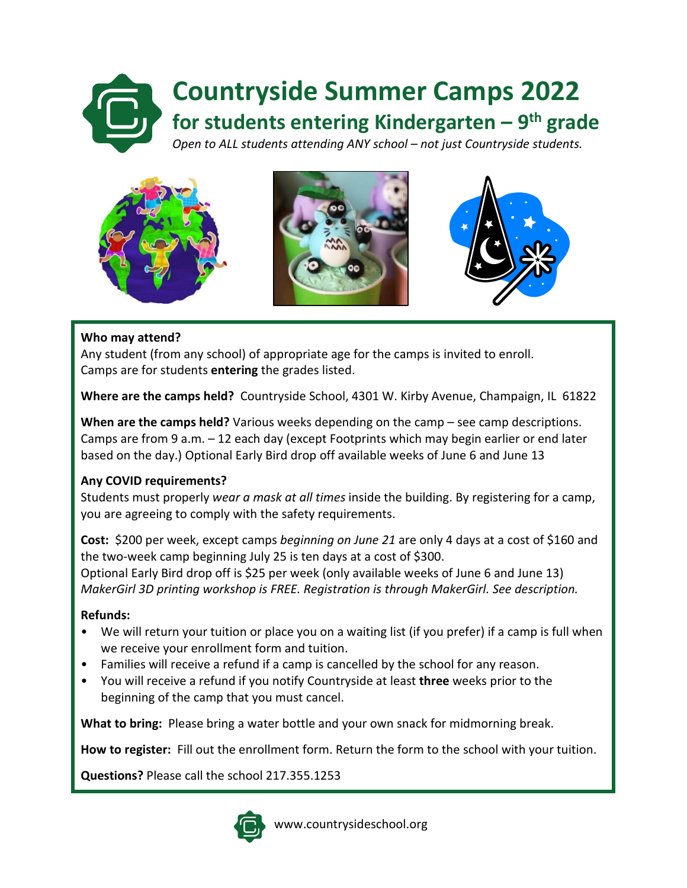# **Countryside Summer Camps 2022 for students entering Kindergarten – 9th grade** *Open to ALL students attending ANY school – not just Countryside students.*



#### **Who may attend?**

Any student (from any school) of appropriate age for the camps is invited to enroll. Camps are for students **entering** the grades listed.

**Where are the camps held?** Countryside School, 4301 W. Kirby Avenue, Champaign, IL 61822

**When are the camps held?** Various weeks depending on the camp – see camp descriptions. Camps are from 9 a.m. – 12 each day (except Footprints which may begin earlier or end later based on the day.) Optional Early Bird drop off available weeks of June 6 and June 13

#### **Any COVID requirements?**

Students must properly *wear a mask at all times* inside the building. By registering for a camp, you are agreeing to comply with the safety requirements.

**Cost:** \$200 per week, except camps *beginning on June 21* are only 4 days at a cost of \$160 and the two-week camp beginning July 25 is ten days at a cost of \$300. Optional Early Bird drop off is \$25 per week (only available weeks of June 6 and June 13) *MakerGirl 3D printing workshop is FREE. Registration is through MakerGirl. See description.*

#### **Refunds:**

- We will return your tuition or place you on a waiting list (if you prefer) if a camp is full when we receive your enrollment form and tuition.
- Families will receive a refund if a camp is cancelled by the school for any reason.
- You will receive a refund if you notify Countryside at least **three** weeks prior to the beginning of the camp that you must cancel.

**What to bring:** Please bring a water bottle and your own snack for midmorning break.

**How to register:** Fill out the enrollment form. Return the form to the school with your tuition.

**Questions?** Please call the school 217.355.1253



www.countrysideschool.org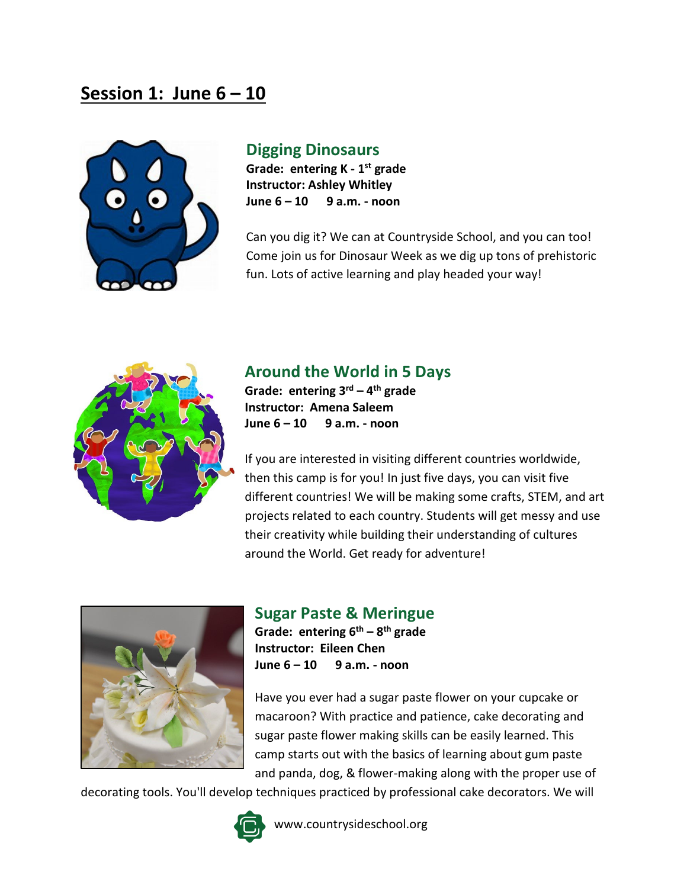## **Session 1: June 6 – 10**



### **Digging Dinosaurs**

**Grade: entering K - 1st grade Instructor: Ashley Whitley June 6 – 10 9 a.m. - noon**

Can you dig it? We can at Countryside School, and you can too! Come join us for Dinosaur Week as we dig up tons of prehistoric fun. Lots of active learning and play headed your way!



### **Around the World in 5 Days**

**Grade: entering 3rd – 4th grade Instructor: Amena Saleem June 6 – 10 9 a.m. - noon**

If you are interested in visiting different countries worldwide, then this camp is for you! In just five days, you can visit five different countries! We will be making some crafts, STEM, and art projects related to each country. Students will get messy and use their creativity while building their understanding of cultures around the World. Get ready for adventure!



**Sugar Paste & Meringue**

**Grade: entering 6th – 8th grade Instructor: Eileen Chen June 6 – 10 9 a.m. - noon**

Have you ever had a sugar paste flower on your cupcake or macaroon? With practice and patience, cake decorating and sugar paste flower making skills can be easily learned. This camp starts out with the basics of learning about gum paste and panda, dog, & flower-making along with the proper use of

decorating tools. You'll develop techniques practiced by professional cake decorators. We will

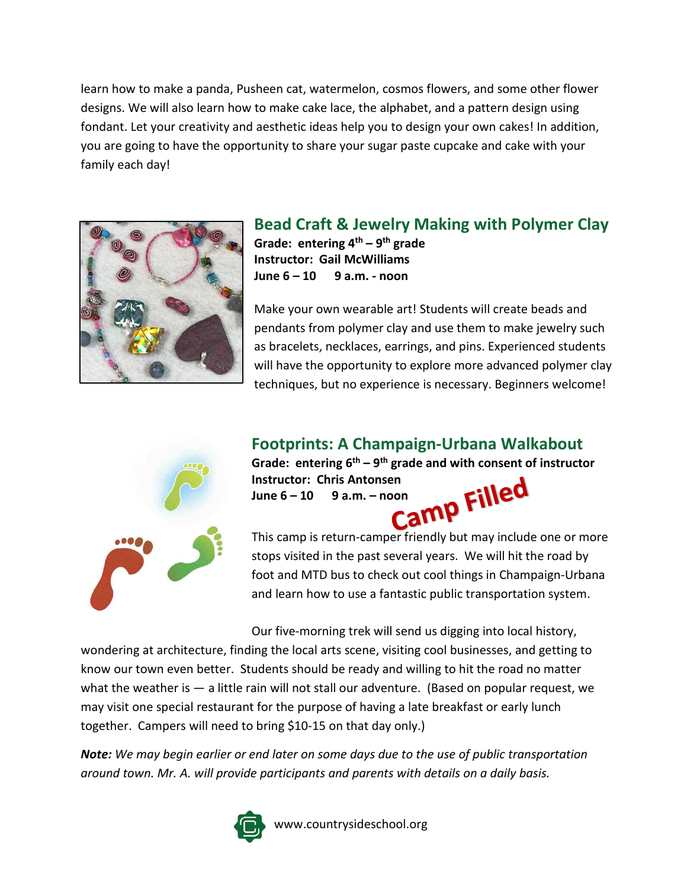learn how to make a panda, Pusheen cat, watermelon, cosmos flowers, and some other flower designs. We will also learn how to make cake lace, the alphabet, and a pattern design using fondant. Let your creativity and aesthetic ideas help you to design your own cakes! In addition, you are going to have the opportunity to share your sugar paste cupcake and cake with your family each day!



#### **Bead Craft & Jewelry Making with Polymer Clay Grade: entering 4th – 9th grade Instructor: Gail McWilliams June 6 – 10 9 a.m. - noon**

Make your own wearable art! Students will create beads and pendants from polymer clay and use them to make jewelry such as bracelets, necklaces, earrings, and pins. Experienced students will have the opportunity to explore more advanced polymer clay techniques, but no experience is necessary. Beginners welcome!



### **Footprints: A Champaign-Urbana Walkabout**

Grade: entering  $6^{th} - 9^{th}$  grade and with consent of instructor<br>Instructor: Chris Antonsen<br>June  $6 - 10 - 9$  a.m. – noon **Instructor: Chris Antonsen**

**June 6 – 10 9 a.m. – noon**

This camp is return-camper friendly but may include one or more stops visited in the past several years. We will hit the road by foot and MTD bus to check out cool things in Champaign-Urbana and learn how to use a fantastic public transportation system.

Our five-morning trek will send us digging into local history,

wondering at architecture, finding the local arts scene, visiting cool businesses, and getting to know our town even better. Students should be ready and willing to hit the road no matter what the weather is  $-$  a little rain will not stall our adventure. (Based on popular request, we may visit one special restaurant for the purpose of having a late breakfast or early lunch together. Campers will need to bring \$10-15 on that day only.)

*Note: We may begin earlier or end later on some days due to the use of public transportation around town. Mr. A. will provide participants and parents with details on a daily basis.*



www.countrysideschool.org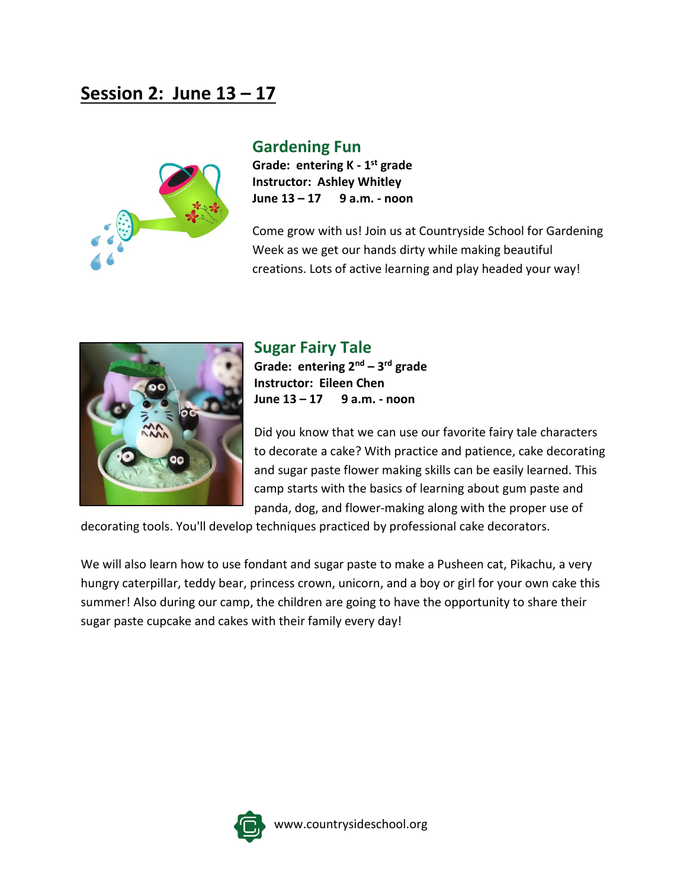# **Session 2: June 13 – 17**



#### **Gardening Fun**

**Grade: entering K - 1st grade Instructor: Ashley Whitley June 13 – 17 9 a.m. - noon**

Come grow with us! Join us at Countryside School for Gardening Week as we get our hands dirty while making beautiful creations. Lots of active learning and play headed your way!



### **Sugar Fairy Tale**

**Grade: entering 2nd – 3rd grade Instructor: Eileen Chen June 13 – 17 9 a.m. - noon**

Did you know that we can use our favorite fairy tale characters to decorate a cake? With practice and patience, cake decorating and sugar paste flower making skills can be easily learned. This camp starts with the basics of learning about gum paste and panda, dog, and flower-making along with the proper use of

decorating tools. You'll develop techniques practiced by professional cake decorators.

We will also learn how to use fondant and sugar paste to make a Pusheen cat, Pikachu, a very hungry caterpillar, teddy bear, princess crown, unicorn, and a boy or girl for your own cake this summer! Also during our camp, the children are going to have the opportunity to share their sugar paste cupcake and cakes with their family every day!

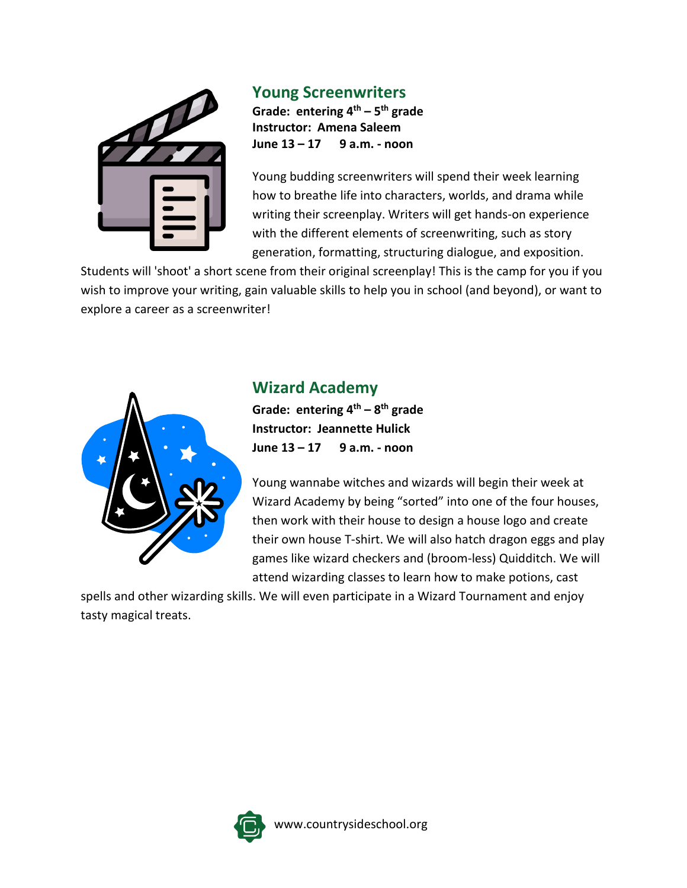

#### **Young Screenwriters**

**Grade: entering 4th – 5th grade Instructor: Amena Saleem June 13 – 17 9 a.m. - noon**

Young budding screenwriters will spend their week learning how to breathe life into characters, worlds, and drama while writing their screenplay. Writers will get hands-on experience with the different elements of screenwriting, such as story generation, formatting, structuring dialogue, and exposition.

Students will 'shoot' a short scene from their original screenplay! This is the camp for you if you wish to improve your writing, gain valuable skills to help you in school (and beyond), or want to explore a career as a screenwriter!



## **Wizard Academy**

**Grade: entering 4th – 8th grade Instructor: Jeannette Hulick June 13 – 17 9 a.m. - noon**

Young wannabe witches and wizards will begin their week at Wizard Academy by being "sorted" into one of the four houses, then work with their house to design a house logo and create their own house T-shirt. We will also hatch dragon eggs and play games like wizard checkers and (broom-less) Quidditch. We will attend wizarding classes to learn how to make potions, cast

spells and other wizarding skills. We will even participate in a Wizard Tournament and enjoy tasty magical treats.

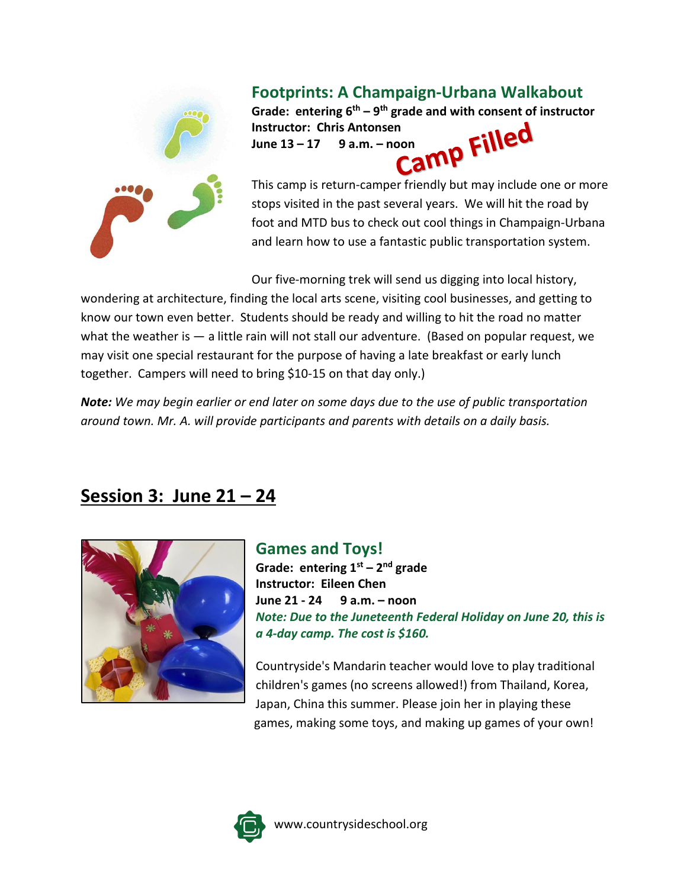

### **Footprints: A Champaign-Urbana Walkabout**

Grade: entering  $6^{th} - 9^{th}$  grade and with consent of instructor<br>Instructor: Chris Antonsen<br>June 13 – 17 9 a.m. – noon **Instructor: Chris Antonsen June 13 – 17 9 a.m. – noon**

This camp is return-camper friendly but may include one or more stops visited in the past several years. We will hit the road by foot and MTD bus to check out cool things in Champaign-Urbana and learn how to use a fantastic public transportation system.

Our five-morning trek will send us digging into local history,

wondering at architecture, finding the local arts scene, visiting cool businesses, and getting to know our town even better. Students should be ready and willing to hit the road no matter what the weather is — a little rain will not stall our adventure. (Based on popular request, we may visit one special restaurant for the purpose of having a late breakfast or early lunch together. Campers will need to bring \$10-15 on that day only.)

*Note: We may begin earlier or end later on some days due to the use of public transportation around town. Mr. A. will provide participants and parents with details on a daily basis.*

# **Session 3: June 21 – 24**



#### **Games and Toys! Grade: entering 1st – 2nd grade Instructor: Eileen Chen June 21 - 24 9 a.m. – noon** *Note: Due to the Juneteenth Federal Holiday on June 20, this is a 4-day camp. The cost is \$160.*

Countryside's Mandarin teacher would love to play traditional children's games (no screens allowed!) from Thailand, Korea, Japan, China this summer. Please join her in playing these games, making some toys, and making up games of your own!

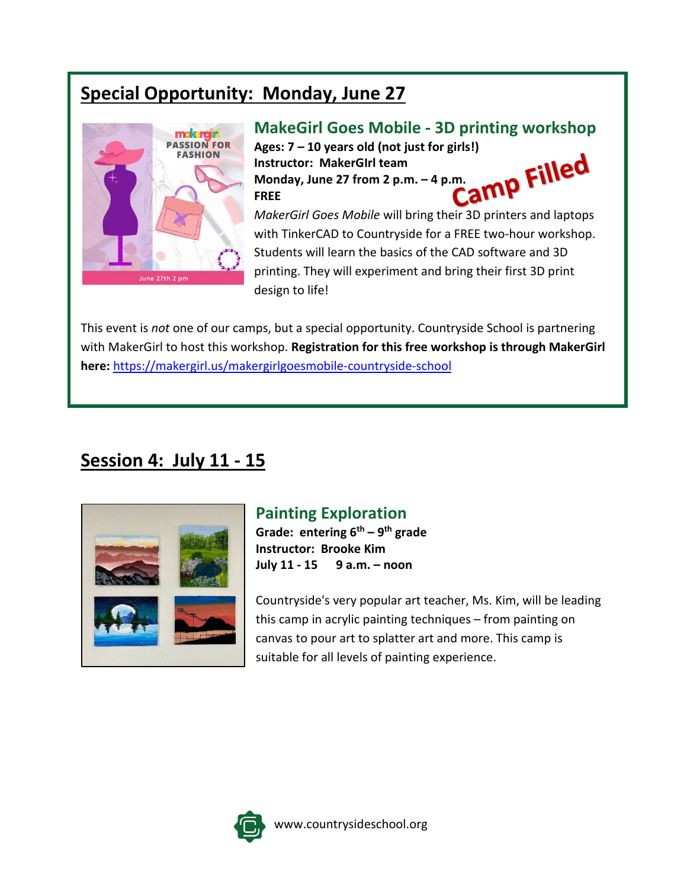# **Special Opportunity: Monday, June 27**



### **MakeGirl Goes Mobile - 3D printing workshop**

Ages: 7 – 10 years old (not just for girls!)<br>Instructor: MakerGirl team<br>Monday, June 27 from 2 p.m. – 4 p.m.<br>FREE **Instructor: MakerGIrl team Monday, June 27 from 2 p.m. – 4 p.m. FREE**

*MakerGirl Goes Mobile* will bring their 3D printers and laptops with TinkerCAD to Countryside for a FREE two-hour workshop. Students will learn the basics of the CAD software and 3D printing. They will experiment and bring their first 3D print design to life!

This event is *not* one of our camps, but a special opportunity. Countryside School is partnering with MakerGirl to host this workshop. **Registration for this free workshop is through MakerGirl here:** <https://makergirl.us/makergirlgoesmobile-countryside-school>

# **Session 4: July 11 - 15**



### **Painting Exploration**

**Grade: entering 6th – 9th grade Instructor: Brooke Kim July 11 - 15 9 a.m. – noon**

Countryside's very popular art teacher, Ms. Kim, will be leading this camp in acrylic painting techniques – from painting on canvas to pour art to splatter art and more. This camp is suitable for all levels of painting experience.